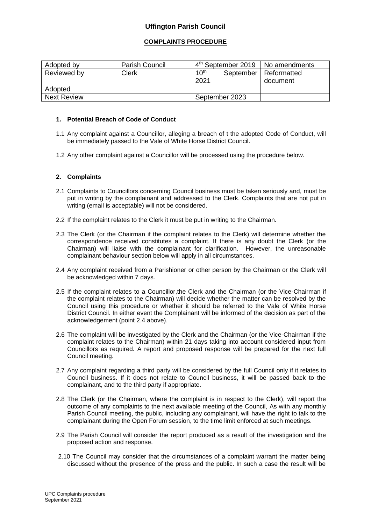# **Uffington Parish Council**

## **COMPLAINTS PROCEDURE**

| Adopted by         | <b>Parish Council</b> | $4th$ September 2019   No amendments |                                     |
|--------------------|-----------------------|--------------------------------------|-------------------------------------|
| Reviewed by        | Clerk                 | 10 <sup>th</sup><br>2021             | September   Reformatted<br>document |
| Adopted            |                       |                                      |                                     |
| <b>Next Review</b> |                       | September 2023                       |                                     |

### **1. Potential Breach of Code of Conduct**

- 1.1 Any complaint against a Councillor, alleging a breach of t the adopted Code of Conduct, will be immediately passed to the Vale of White Horse District Council.
- 1.2 Any other complaint against a Councillor will be processed using the procedure below.

## **2. Complaints**

- 2.1 Complaints to Councillors concerning Council business must be taken seriously and, must be put in writing by the complainant and addressed to the Clerk. Complaints that are not put in writing (email is acceptable) will not be considered.
- 2.2 If the complaint relates to the Clerk it must be put in writing to the Chairman.
- 2.3 The Clerk (or the Chairman if the complaint relates to the Clerk) will determine whether the correspondence received constitutes a complaint. If there is any doubt the Clerk (or the Chairman) will liaise with the complainant for clarification. However, the unreasonable complainant behaviour section below will apply in all circumstances.
- 2.4 Any complaint received from a Parishioner or other person by the Chairman or the Clerk will be acknowledged within 7 days.
- 2.5 If the complaint relates to a Councillor,the Clerk and the Chairman (or the Vice-Chairman if the complaint relates to the Chairman) will decide whether the matter can be resolved by the Council using this procedure or whether it should be referred to the Vale of White Horse District Council. In either event the Complainant will be informed of the decision as part of the acknowledgement (point 2.4 above).
- 2.6 The complaint will be investigated by the Clerk and the Chairman (or the Vice-Chairman if the complaint relates to the Chairman) within 21 days taking into account considered input from Councillors as required. A report and proposed response will be prepared for the next full Council meeting.
- 2.7 Any complaint regarding a third party will be considered by the full Council only if it relates to Council business. If it does not relate to Council business, it will be passed back to the complainant, and to the third party if appropriate.
- 2.8 The Clerk (or the Chairman, where the complaint is in respect to the Clerk), will report the outcome of any complaints to the next available meeting of the Council, As with any monthly Parish Council meeting, the public, including any complainant, will have the right to talk to the complainant during the Open Forum session, to the time limit enforced at such meetings.
- 2.9 The Parish Council will consider the report produced as a result of the investigation and the proposed action and response.
- 2.10 The Council may consider that the circumstances of a complaint warrant the matter being discussed without the presence of the press and the public. In such a case the result will be